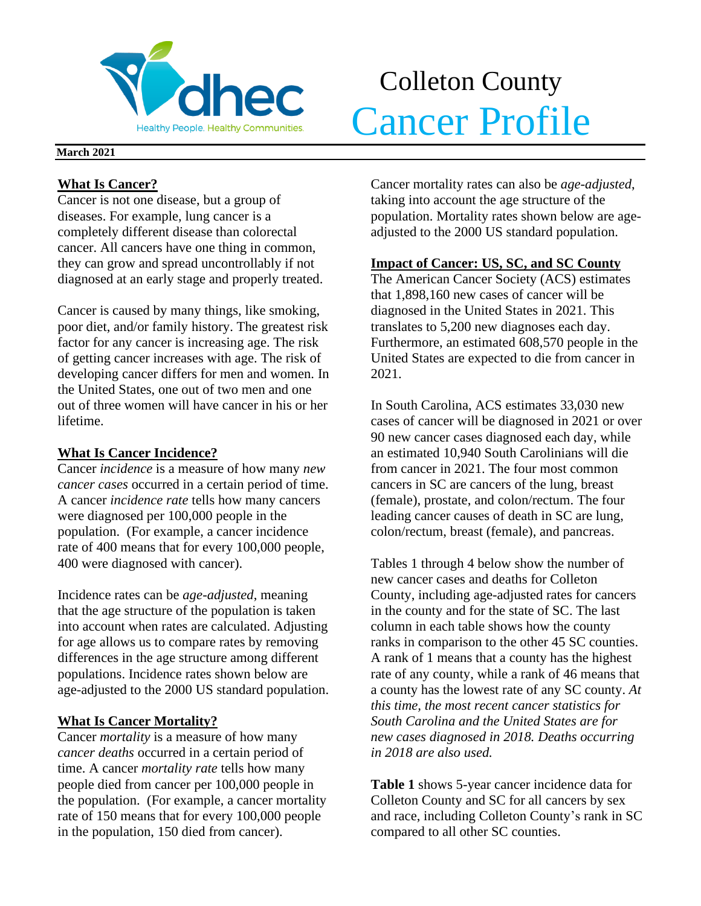

# Colleton County **Volhec** Cancer Profile

#### **March 2021**

## **What Is Cancer?**

Cancer is not one disease, but a group of diseases. For example, lung cancer is a completely different disease than colorectal cancer. All cancers have one thing in common, they can grow and spread uncontrollably if not diagnosed at an early stage and properly treated.

Cancer is caused by many things, like smoking, poor diet, and/or family history. The greatest risk factor for any cancer is increasing age. The risk of getting cancer increases with age. The risk of developing cancer differs for men and women. In the United States, one out of two men and one out of three women will have cancer in his or her lifetime.

## **What Is Cancer Incidence?**

Cancer *incidence* is a measure of how many *new cancer cases* occurred in a certain period of time. A cancer *incidence rate* tells how many cancers were diagnosed per 100,000 people in the population. (For example, a cancer incidence rate of 400 means that for every 100,000 people, 400 were diagnosed with cancer).

Incidence rates can be *age-adjusted*, meaning that the age structure of the population is taken into account when rates are calculated. Adjusting for age allows us to compare rates by removing differences in the age structure among different populations. Incidence rates shown below are age-adjusted to the 2000 US standard population.

## **What Is Cancer Mortality?**

Cancer *mortality* is a measure of how many *cancer deaths* occurred in a certain period of time. A cancer *mortality rate* tells how many people died from cancer per 100,000 people in the population. (For example, a cancer mortality rate of 150 means that for every 100,000 people in the population, 150 died from cancer).

Cancer mortality rates can also be *age-adjusted*, taking into account the age structure of the population. Mortality rates shown below are ageadjusted to the 2000 US standard population.

## **Impact of Cancer: US, SC, and SC County**

The American Cancer Society (ACS) estimates that 1,898,160 new cases of cancer will be diagnosed in the United States in 2021. This translates to 5,200 new diagnoses each day. Furthermore, an estimated 608,570 people in the United States are expected to die from cancer in 2021.

In South Carolina, ACS estimates 33,030 new cases of cancer will be diagnosed in 2021 or over 90 new cancer cases diagnosed each day, while an estimated 10,940 South Carolinians will die from cancer in 2021. The four most common cancers in SC are cancers of the lung, breast (female), prostate, and colon/rectum. The four leading cancer causes of death in SC are lung, colon/rectum, breast (female), and pancreas.

Tables 1 through 4 below show the number of new cancer cases and deaths for Colleton County, including age-adjusted rates for cancers in the county and for the state of SC. The last column in each table shows how the county ranks in comparison to the other 45 SC counties. A rank of 1 means that a county has the highest rate of any county, while a rank of 46 means that a county has the lowest rate of any SC county. *At this time, the most recent cancer statistics for South Carolina and the United States are for new cases diagnosed in 2018. Deaths occurring in 2018 are also used.*

**Table 1** shows 5-year cancer incidence data for Colleton County and SC for all cancers by sex and race, including Colleton County's rank in SC compared to all other SC counties.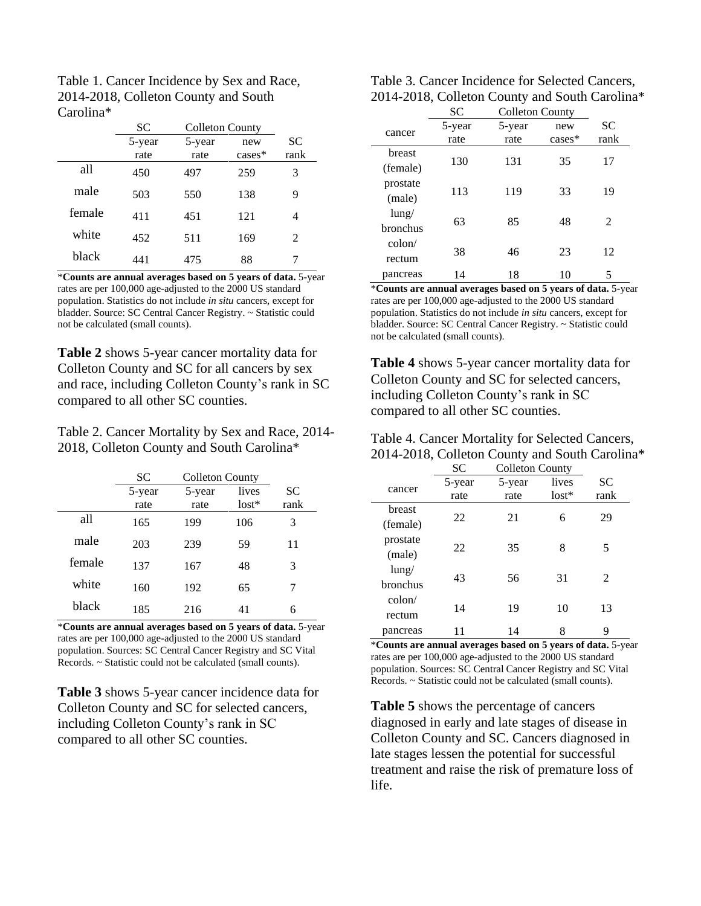| Table 1. Cancer Incidence by Sex and Race, |
|--------------------------------------------|
| 2014-2018, Colleton County and South       |
| Carolina <sup>*</sup>                      |

|        | SС     | <b>Colleton County</b> |           |                             |
|--------|--------|------------------------|-----------|-----------------------------|
|        | 5-year | 5-year                 | new       | <b>SC</b>                   |
|        | rate   | rate                   | $cases^*$ | rank                        |
| all    | 450    | 497                    | 259       | 3                           |
| male   | 503    | 550                    | 138       | 9                           |
| female | 411    | 451                    | 121       | 4                           |
| white  | 452    | 511                    | 169       | $\mathcal{D}_{\mathcal{L}}$ |
| black  | 441    | 475                    | 88        |                             |

\***Counts are annual averages based on 5 years of data.** 5-year rates are per 100,000 age-adjusted to the 2000 US standard population. Statistics do not include *in situ* cancers, except for bladder. Source: SC Central Cancer Registry. ~ Statistic could not be calculated (small counts).

**Table 2** shows 5-year cancer mortality data for Colleton County and SC for all cancers by sex and race, including Colleton County's rank in SC compared to all other SC counties.

Table 2. Cancer Mortality by Sex and Race, 2014- 2018, Colleton County and South Carolina\*

|        | <b>SC</b> | <b>Colleton County</b> |         |      |
|--------|-----------|------------------------|---------|------|
|        | 5-year    | 5-year                 | lives   | SС   |
|        | rate      | rate                   | $lost*$ | rank |
| all    | 165       | 199                    | 106     | 3    |
| male   | 203       | 239                    | 59      | 11   |
| female | 137       | 167                    | 48      | 3    |
| white  | 160       | 192                    | 65      | 7    |
| black  | 185       | 216                    | 41      | 6    |

\***Counts are annual averages based on 5 years of data.** 5-year rates are per 100,000 age-adjusted to the 2000 US standard population. Sources: SC Central Cancer Registry and SC Vital Records. ~ Statistic could not be calculated (small counts).

**Table 3** shows 5-year cancer incidence data for Colleton County and SC for selected cancers, including Colleton County's rank in SC compared to all other SC counties.

| Table 3. Cancer Incidence for Selected Cancers, |
|-------------------------------------------------|
| 2014-2018, Colleton County and South Carolina*  |

|                                   | SC     | <b>Colleton County</b> |          |      |  |
|-----------------------------------|--------|------------------------|----------|------|--|
| cancer                            | 5-year | 5-year                 | new      | SC   |  |
|                                   | rate   | rate                   | $cases*$ | rank |  |
| breast                            | 130    | 131                    | 35       | 17   |  |
| (female)                          |        |                        |          |      |  |
| prostate                          |        |                        | 33       | 19   |  |
| (male)                            | 113    | 119                    |          |      |  |
| $\frac{\text{lung}}{\text{lang}}$ | 63     |                        | 48       | 2    |  |
| <b>bronchus</b>                   |        | 85                     |          |      |  |
| $\text{colon}/$                   |        |                        |          |      |  |
| rectum                            | 38     | 46                     | 23       | 12   |  |
| pancreas                          | 14     | 18                     | 10       | 5    |  |

\***Counts are annual averages based on 5 years of data.** 5-year rates are per 100,000 age-adjusted to the 2000 US standard population. Statistics do not include *in situ* cancers, except for bladder. Source: SC Central Cancer Registry. ~ Statistic could not be calculated (small counts).

**Table 4** shows 5-year cancer mortality data for Colleton County and SC for selected cancers, including Colleton County's rank in SC compared to all other SC counties.

| Table 4. Cancer Mortality for Selected Cancers, |
|-------------------------------------------------|
| 2014-2018, Colleton County and South Carolina*  |

|                 | <b>SC</b> | <b>Colleton County</b> |         |      |
|-----------------|-----------|------------------------|---------|------|
|                 | 5-year    | 5-year                 | lives   | SС   |
| cancer          | rate      | rate                   | $lost*$ | rank |
| breast          |           |                        |         |      |
| (female)        | 22        | 21                     | 6       | 29   |
| prostate        |           |                        |         |      |
| (male)          | 22        | 35                     | 8       | 5    |
| $l$ ung/        |           |                        |         |      |
| bronchus        | 43        | 56                     | 31      | 2    |
| $\text{colon}/$ |           |                        |         |      |
| rectum          | 14        | 19                     | 10      | 13   |
| pancreas        |           | 14                     | 8       | 9    |

\***Counts are annual averages based on 5 years of data.** 5-year rates are per 100,000 age-adjusted to the 2000 US standard population. Sources: SC Central Cancer Registry and SC Vital Records. ~ Statistic could not be calculated (small counts).

**Table 5** shows the percentage of cancers diagnosed in early and late stages of disease in Colleton County and SC. Cancers diagnosed in late stages lessen the potential for successful treatment and raise the risk of premature loss of life.